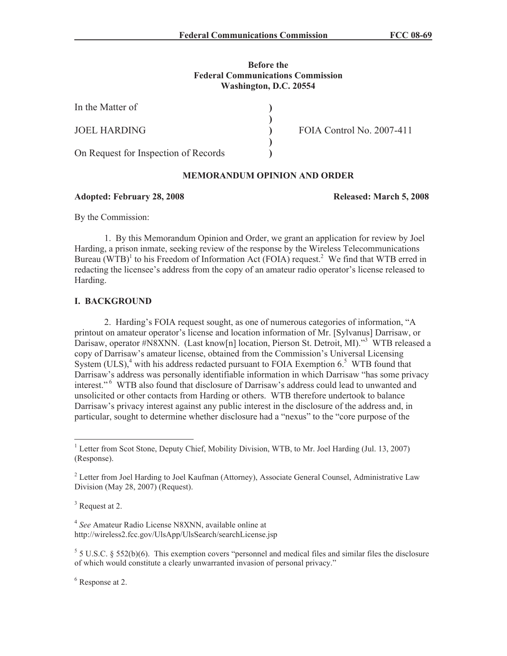## **Before the Federal Communications Commission Washington, D.C. 20554**

**) ) ) ) )**

| In the Matter of                     |  |
|--------------------------------------|--|
| <b>JOEL HARDING</b>                  |  |
| On Request for Inspection of Records |  |

FOIA Control No. 2007-411

## **MEMORANDUM OPINION AND ORDER**

#### **Adopted: February 28, 2008 Released: March 5, 2008**

By the Commission:

1. By this Memorandum Opinion and Order, we grant an application for review by Joel Harding, a prison inmate, seeking review of the response by the Wireless Telecommunications Bureau  $(WTB)^{1}$  to his Freedom of Information Act (FOIA) request.<sup>2</sup> We find that WTB erred in redacting the licensee's address from the copy of an amateur radio operator's license released to Harding.

## **I. BACKGROUND**

2. Harding's FOIA request sought, as one of numerous categories of information, "A printout on amateur operator's license and location information of Mr. [Sylvanus] Darrisaw, or Darisaw, operator #N8XNN. (Last know[n] location, Pierson St. Detroit, MI)."<sup>3</sup> WTB released a copy of Darrisaw's amateur license, obtained from the Commission's Universal Licensing System  $(ULS)$ ,<sup>4</sup> with his address redacted pursuant to FOIA Exemption 6.<sup>5</sup> WTB found that Darrisaw's address was personally identifiable information in which Darrisaw "has some privacy interest."<sup>6</sup> WTB also found that disclosure of Darrisaw's address could lead to unwanted and unsolicited or other contacts from Harding or others. WTB therefore undertook to balance Darrisaw's privacy interest against any public interest in the disclosure of the address and, in particular, sought to determine whether disclosure had a "nexus" to the "core purpose of the

<sup>3</sup> Request at 2.

4 *See* Amateur Radio License N8XNN, available online at http://wireless2.fcc.gov/UlsApp/UlsSearch/searchLicense.jsp

 $5$  5 U.S.C. § 552(b)(6). This exemption covers "personnel and medical files and similar files the disclosure of which would constitute a clearly unwarranted invasion of personal privacy."

<sup>6</sup> Response at 2.

<sup>&</sup>lt;sup>1</sup> Letter from Scot Stone, Deputy Chief, Mobility Division, WTB, to Mr. Joel Harding (Jul. 13, 2007) (Response).

 $2^2$  Letter from Joel Harding to Joel Kaufman (Attorney), Associate General Counsel, Administrative Law Division (May 28, 2007) (Request).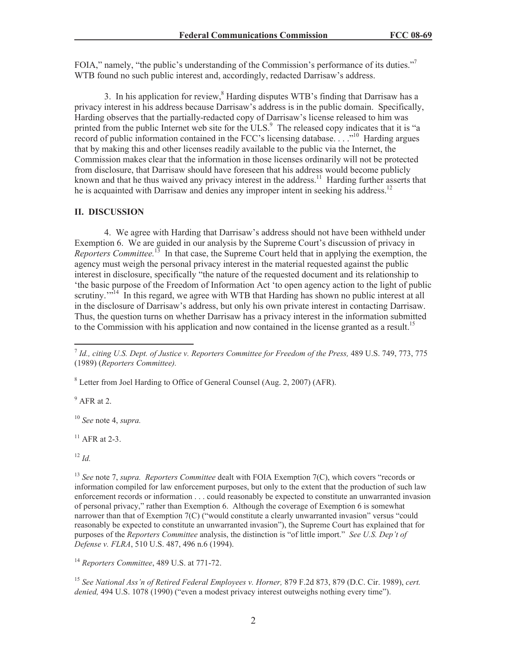FOIA," namely, "the public's understanding of the Commission's performance of its duties."<sup>7</sup> WTB found no such public interest and, accordingly, redacted Darrisaw's address.

3. In his application for review, $<sup>8</sup>$  Harding disputes WTB's finding that Darrisaw has a</sup> privacy interest in his address because Darrisaw's address is in the public domain. Specifically, Harding observes that the partially-redacted copy of Darrisaw's license released to him was printed from the public Internet web site for the ULS.<sup>9</sup> The released copy indicates that it is "a record of public information contained in the FCC's licensing database. . . ."<sup>10</sup> Harding argues that by making this and other licenses readily available to the public via the Internet, the Commission makes clear that the information in those licenses ordinarily will not be protected from disclosure, that Darrisaw should have foreseen that his address would become publicly known and that he thus waived any privacy interest in the address.<sup>11</sup> Harding further asserts that he is acquainted with Darrisaw and denies any improper intent in seeking his address.<sup>12</sup>

#### **II. DISCUSSION**

4. We agree with Harding that Darrisaw's address should not have been withheld under Exemption 6. We are guided in our analysis by the Supreme Court's discussion of privacy in *Reporters Committee.*<sup>13</sup> In that case, the Supreme Court held that in applying the exemption, the agency must weigh the personal privacy interest in the material requested against the public interest in disclosure, specifically "the nature of the requested document and its relationship to 'the basic purpose of the Freedom of Information Act 'to open agency action to the light of public scrutiny.<sup>""14</sup> In this regard, we agree with WTB that Harding has shown no public interest at all in the disclosure of Darrisaw's address, but only his own private interest in contacting Darrisaw. Thus, the question turns on whether Darrisaw has a privacy interest in the information submitted to the Commission with his application and now contained in the license granted as a result.<sup>15</sup>

<sup>8</sup> Letter from Joel Harding to Office of General Counsel (Aug. 2, 2007) (AFR).

 $<sup>9</sup>$  AFR at 2.</sup>

<sup>10</sup> *See* note 4, *supra.* 

 $11$  AFR at 2-3.

 $12 \, Id.$ 

<sup>15</sup> *See National Ass'n of Retired Federal Employees v. Horner,* 879 F.2d 873, 879 (D.C. Cir. 1989), *cert. denied,* 494 U.S. 1078 (1990) ("even a modest privacy interest outweighs nothing every time").

<sup>&</sup>lt;sup>7</sup> Id., citing U.S. Dept. of Justice v. Reporters Committee for Freedom of the Press, 489 U.S. 749, 773, 775 (1989) (*Reporters Committee).*

<sup>13</sup> *See* note 7, *supra. Reporters Committee* dealt with FOIA Exemption 7(C), which covers "records or information compiled for law enforcement purposes, but only to the extent that the production of such law enforcement records or information . . . could reasonably be expected to constitute an unwarranted invasion of personal privacy," rather than Exemption 6. Although the coverage of Exemption 6 is somewhat narrower than that of Exemption 7(C) ("would constitute a clearly unwarranted invasion" versus "could reasonably be expected to constitute an unwarranted invasion"), the Supreme Court has explained that for purposes of the *Reporters Committee* analysis, the distinction is "of little import." *See U.S. Dep't of Defense v. FLRA*, 510 U.S. 487, 496 n.6 (1994).

<sup>14</sup> *Reporters Committee*, 489 U.S. at 771-72.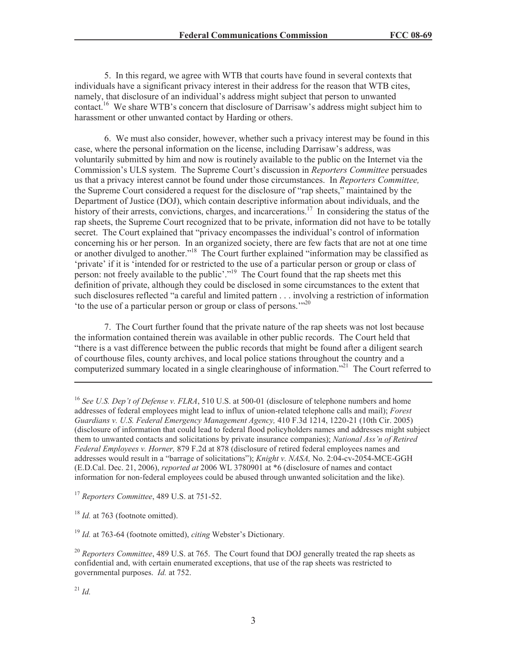5. In this regard, we agree with WTB that courts have found in several contexts that individuals have a significant privacy interest in their address for the reason that WTB cites, namely, that disclosure of an individual's address might subject that person to unwanted contact.<sup>16</sup> We share WTB's concern that disclosure of Darrisaw's address might subject him to harassment or other unwanted contact by Harding or others.

6. We must also consider, however, whether such a privacy interest may be found in this case, where the personal information on the license, including Darrisaw's address, was voluntarily submitted by him and now is routinely available to the public on the Internet via the Commission's ULS system. The Supreme Court's discussion in *Reporters Committee* persuades us that a privacy interest cannot be found under those circumstances. In *Reporters Committee,*  the Supreme Court considered a request for the disclosure of "rap sheets," maintained by the Department of Justice (DOJ), which contain descriptive information about individuals, and the history of their arrests, convictions, charges, and incarcerations.<sup>17</sup> In considering the status of the rap sheets, the Supreme Court recognized that to be private, information did not have to be totally secret. The Court explained that "privacy encompasses the individual's control of information concerning his or her person. In an organized society, there are few facts that are not at one time or another divulged to another."<sup>18</sup> The Court further explained "information may be classified as 'private' if it is 'intended for or restricted to the use of a particular person or group or class of person: not freely available to the public'."<sup>19</sup> The Court found that the rap sheets met this definition of private, although they could be disclosed in some circumstances to the extent that such disclosures reflected "a careful and limited pattern . . . involving a restriction of information 'to the use of a particular person or group or class of persons.'"<sup>20</sup>

7. The Court further found that the private nature of the rap sheets was not lost because the information contained therein was available in other public records. The Court held that "there is a vast difference between the public records that might be found after a diligent search of courthouse files, county archives, and local police stations throughout the country and a computerized summary located in a single clearinghouse of information.<sup>"21</sup> The Court referred to

<sup>16</sup> See U.S. Dep't of Defense v. FLRA, 510 U.S. at 500-01 (disclosure of telephone numbers and home addresses of federal employees might lead to influx of union-related telephone calls and mail); *Forest Guardians v. U.S. Federal Emergency Management Agency,* 410 F.3d 1214, 1220-21 (10th Cir. 2005) (disclosure of information that could lead to federal flood policyholders names and addresses might subject them to unwanted contacts and solicitations by private insurance companies); *National Ass'n of Retired Federal Employees v. Horner,* 879 F.2d at 878 (disclosure of retired federal employees names and addresses would result in a "barrage of solicitations"); *Knight v. NASA,* No. 2:04-cv-2054-MCE-GGH (E.D.Cal. Dec. 21, 2006), *reported at* 2006 WL 3780901 at \*6 (disclosure of names and contact information for non-federal employees could be abused through unwanted solicitation and the like).

<sup>17</sup> *Reporters Committee*, 489 U.S. at 751-52.

<sup>18</sup> *Id.* at 763 (footnote omitted).

<sup>19</sup> *Id.* at 763-64 (footnote omitted), *citing* Webster's Dictionary*.*

<sup>20</sup> *Reporters Committee*, 489 U.S. at 765. The Court found that DOJ generally treated the rap sheets as confidential and, with certain enumerated exceptions, that use of the rap sheets was restricted to governmental purposes. *Id.* at 752.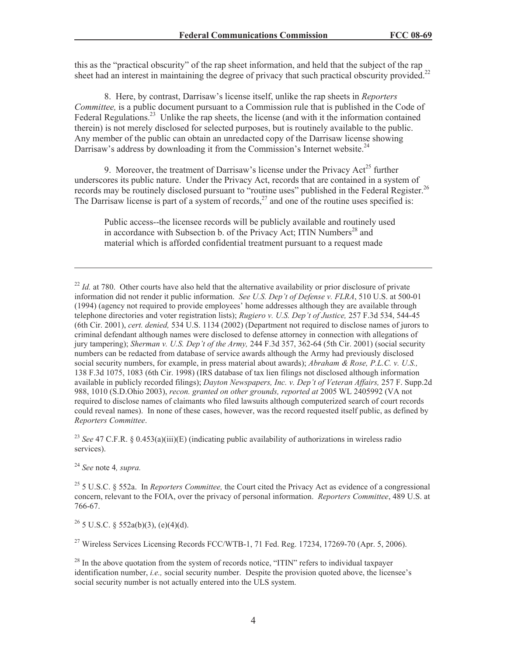this as the "practical obscurity" of the rap sheet information, and held that the subject of the rap sheet had an interest in maintaining the degree of privacy that such practical obscurity provided.<sup>22</sup>

8. Here, by contrast, Darrisaw's license itself, unlike the rap sheets in *Reporters Committee,* is a public document pursuant to a Commission rule that is published in the Code of Federal Regulations.<sup>23</sup> Unlike the rap sheets, the license (and with it the information contained therein) is not merely disclosed for selected purposes, but is routinely available to the public. Any member of the public can obtain an unredacted copy of the Darrisaw license showing Darrisaw's address by downloading it from the Commission's Internet website.<sup>24</sup>

9. Moreover, the treatment of Darrisaw's license under the Privacy Act<sup>25</sup> further underscores its public nature. Under the Privacy Act, records that are contained in a system of records may be routinely disclosed pursuant to "routine uses" published in the Federal Register.<sup>26</sup> The Darrisaw license is part of a system of records,<sup>27</sup> and one of the routine uses specified is:

Public access--the licensee records will be publicly available and routinely used in accordance with Subsection b. of the Privacy Act; ITIN Numbers<sup>28</sup> and material which is afforded confidential treatment pursuant to a request made

<sup>23</sup> *See* 47 C.F.R. § 0.453(a)(iii)(E) (indicating public availability of authorizations in wireless radio services).

<sup>24</sup> *See* note 4*, supra.*

<sup>25</sup> 5 U.S.C. § 552a. In *Reporters Committee,* the Court cited the Privacy Act as evidence of a congressional concern, relevant to the FOIA, over the privacy of personal information. *Reporters Committee*, 489 U.S. at 766-67.

 $^{26}$  5 U.S.C. § 552a(b)(3), (e)(4)(d).

<sup>27</sup> Wireless Services Licensing Records FCC/WTB-1, 71 Fed. Reg. 17234, 17269-70 (Apr. 5, 2006).

 $^{22}$  *Id.* at 780. Other courts have also held that the alternative availability or prior disclosure of private information did not render it public information. *See U.S. Dep't of Defense v. FLRA*, 510 U.S. at 500-01 (1994) (agency not required to provide employees' home addresses although they are available through telephone directories and voter registration lists); *Rugiero v. U.S. Dep't of Justice,* 257 F.3d 534, 544-45 (6th Cir. 2001), *cert. denied,* 534 U.S. 1134 (2002) (Department not required to disclose names of jurors to criminal defendant although names were disclosed to defense attorney in connection with allegations of jury tampering); *Sherman v. U.S. Dep't of the Army,* 244 F.3d 357, 362-64 (5th Cir. 2001) (social security numbers can be redacted from database of service awards although the Army had previously disclosed social security numbers, for example, in press material about awards); *Abraham & Rose, P.L.C. v. U.S.,*  138 F.3d 1075, 1083 (6th Cir. 1998) (IRS database of tax lien filings not disclosed although information available in publicly recorded filings); *Dayton Newspapers, Inc. v. Dep't of Veteran Affairs,* 257 F. Supp.2d 988, 1010 (S.D.Ohio 2003), *recon. granted on other grounds, reported at* 2005 WL 2405992 (VA not required to disclose names of claimants who filed lawsuits although computerized search of court records could reveal names). In none of these cases, however, was the record requested itself public, as defined by *Reporters Committee*.

 $^{28}$  In the above quotation from the system of records notice, "ITIN" refers to individual taxpayer identification number, *i.e.,* social security number. Despite the provision quoted above, the licensee's social security number is not actually entered into the ULS system.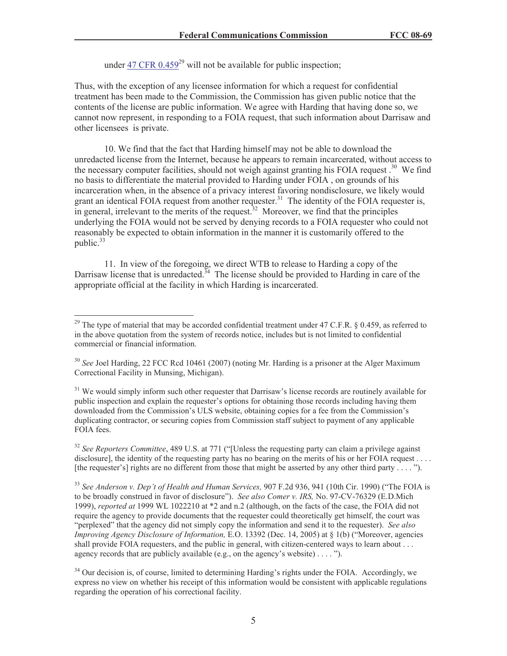under 47 CFR  $0.459^{29}$  will not be available for public inspection:

Thus, with the exception of any licensee information for which a request for confidential treatment has been made to the Commission, the Commission has given public notice that the contents of the license are public information. We agree with Harding that having done so, we cannot now represent, in responding to a FOIA request, that such information about Darrisaw and other licensees is private.

10. We find that the fact that Harding himself may not be able to download the unredacted license from the Internet, because he appears to remain incarcerated, without access to the necessary computer facilities, should not weigh against granting his FOIA request.<sup>30</sup> We find no basis to differentiate the material provided to Harding under FOIA , on grounds of his incarceration when, in the absence of a privacy interest favoring nondisclosure, we likely would grant an identical FOIA request from another requester.<sup>31</sup> The identity of the FOIA requester is, in general, irrelevant to the merits of the request.<sup>32</sup> Moreover, we find that the principles underlying the FOIA would not be served by denying records to a FOIA requester who could not reasonably be expected to obtain information in the manner it is customarily offered to the public.<sup>33</sup>

11. In view of the foregoing, we direct WTB to release to Harding a copy of the Darrisaw license that is unredacted.<sup>34</sup> The license should be provided to Harding in care of the appropriate official at the facility in which Harding is incarcerated.

<sup>31</sup> We would simply inform such other requester that Darrisaw's license records are routinely available for public inspection and explain the requester's options for obtaining those records including having them downloaded from the Commission's ULS website, obtaining copies for a fee from the Commission's duplicating contractor, or securing copies from Commission staff subject to payment of any applicable FOIA fees.

<sup>&</sup>lt;sup>29</sup> The type of material that may be accorded confidential treatment under 47 C.F.R.  $\S$  0.459, as referred to in the above quotation from the system of records notice, includes but is not limited to confidential commercial or financial information.

<sup>&</sup>lt;sup>30</sup> See Joel Harding, 22 FCC Rcd 10461 (2007) (noting Mr. Harding is a prisoner at the Alger Maximum Correctional Facility in Munsing, Michigan).

<sup>&</sup>lt;sup>32</sup> *See Reporters Committee*, 489 U.S. at 771 ("[Unless the requesting party can claim a privilege against disclosure], the identity of the requesting party has no bearing on the merits of his or her FOIA request . . . . [the requester's] rights are no different from those that might be asserted by any other third party . . . . ").

<sup>33</sup> *See Anderson v. Dep't of Health and Human Services,* 907 F.2d 936, 941 (10th Cir. 1990) ("The FOIA is to be broadly construed in favor of disclosure"). *See also Comer v. IRS,* No. 97-CV-76329 (E.D.Mich 1999), *reported at* 1999 WL 1022210 at \*2 and n.2 (although, on the facts of the case, the FOIA did not require the agency to provide documents that the requester could theoretically get himself, the court was "perplexed" that the agency did not simply copy the information and send it to the requester). *See also Improving Agency Disclosure of Information, E.O. 13392 (Dec. 14, 2005)* at § 1(b) ("Moreover, agencies shall provide FOIA requesters, and the public in general, with citizen-centered ways to learn about . . . agency records that are publicly available (e.g., on the agency's website) . . . . ").

<sup>&</sup>lt;sup>34</sup> Our decision is, of course, limited to determining Harding's rights under the FOIA. Accordingly, we express no view on whether his receipt of this information would be consistent with applicable regulations regarding the operation of his correctional facility.